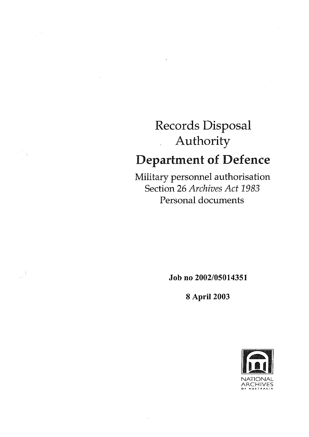# Records Disposal Authority

## **Department of Defence**

Military personnel authorisation Section 26 Archives Act 1983 Personal documents

Job no 2002/05014351

**8 April 2003** 

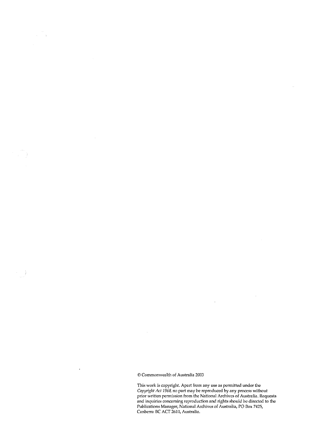© Commonwealth of Australia 2003

 $\cdot$ 

 $\sim$   $\alpha$  $\mathcal{A}^{\mathcal{A}}$ 

> This work is copyright. Apart from any use as permitted under the Copyright Act 1968, no part may be reproduced by any process without prior written permission from the National Archives of Australia. Requests and inquiries concerning reproduction and rights should be directed to the Publications Manager, National Archives of Australia, PO Box 7425, Canberra BC ACT 2610, Australia.

l,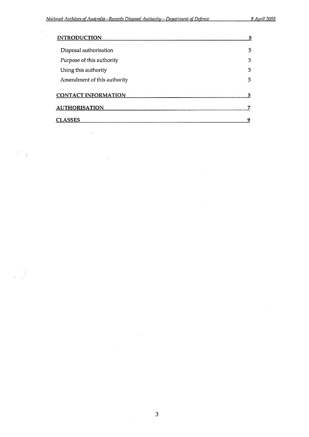$\sim$ 

 $\begin{pmatrix} 1 & 0 \\ 0 & 1 \\ 0 & 0 \end{pmatrix}$ 

 $\left\{ \begin{array}{c} 1 \\ 1 \end{array} \right\}$ 

| <b>INTRODUCTION</b>         | 5 |
|-----------------------------|---|
| Disposal authorisation      | 5 |
| Purpose of this authority   | 5 |
| Using this authority        | 5 |
| Amendment of this authority | 5 |
| <b>CONTACT INFORMATION</b>  | 5 |
| <b>AUTHORISATION</b>        |   |
| <b>CLASSES</b>              | 9 |

 $\mathcal{L}^{\text{max}}_{\text{max}}$  and  $\mathcal{L}^{\text{max}}_{\text{max}}$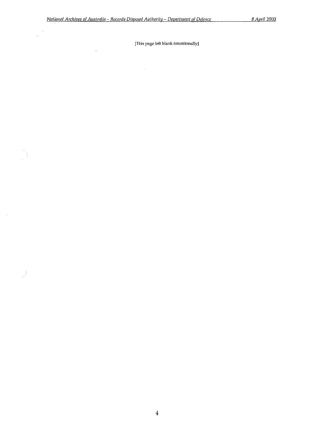8 April 2003

 $\mathcal{A}^{\mathcal{A}}$ 

 $\mathbf{r}$ 

 $\begin{pmatrix} 0 & 0 \\ 0 & 0 \\ 0 & 0 \end{pmatrix}$ 

 $\hat{\boldsymbol{\gamma}}$  $\omega^{\frac{1}{2}}$  [This page left blank intentionally]

 $\hat{\mathcal{A}}$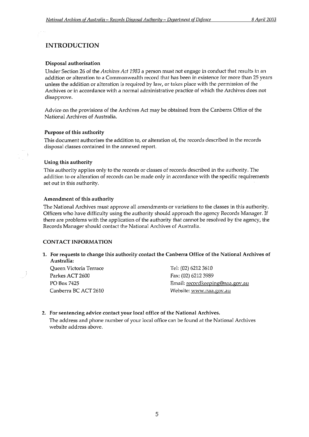### **INTRODUCTION**

#### Disposal authorisation

Under Section 26 of the *Archives Act* 1983 a person must not engage in conduct that results in an addition or alteration to a Commonwealth record that has been in existence for more than 25 years unless the addition or alteration is required by law, or takes place with the permission of the **Archives or in accordance with a normal administrative practice of which the Archives does not**  disapprove.

Advice on the provisions of the Archives Act may be obtained from the Canberra Office of the National Archives of Australia.

#### Purpose of this authority

This document authorises the addition to, or alteration of, the records described in the records disposal classes contained in the annexed report.

#### Using this authority

This authority applies only to the records or classes of records described in the authority. The addition to or alteration of records can be made only in accordance with the specific requirements set out in this authority.

#### Amendment of this authority

The National Archives must approve all amendments or variations to the classes in this authority. Officers who have difficulty using the authority should approach the agency Records Manager. If there are problems with the application of the authority that cannot be resolved by the agency, the Records Manager should contact the National Archives of Australia.

#### CONTACT INFORMATION

1. For requests to change this authority contact the Canberra Office of the National Archives of Australia:

Queen Victoria Terrace Tel: (02) 6212 3610 Parkes ACT 2600 Fax: (02) 6212 3989

POBox 7425 **Email: recordkeeping@naa.gov.au** Canberra BC ACT 2610 **Website: www.naa.gov.au**

2. For sentencing advice contact your local office of the National Archives.

The address and phone number of your local office can be found at the National Archives website address above.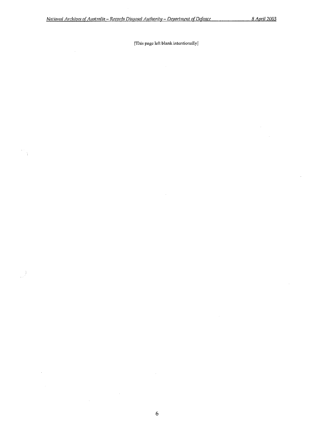$\mathcal{A}^{\mathcal{A}}$ 

 $\mathcal{E}^{\mathcal{E}}_{\mathcal{E}}$ 

 $\begin{smallmatrix}&&1\\&&1\\1&1&1\end{smallmatrix}$ 

 $\hat{\mathcal{A}}$ 

[This page left blank intentionally]

 $\bar{\lambda}$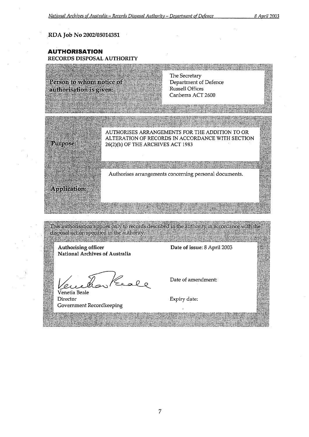#### RDA Job No 2002/05014351

#### **AUTHORISATION** RECORDS DISPOSAL AUTHORITY

Person forwhom nonce of authorisation is given:

The Secretary Department of Defence **Russell Offices** Canberra ACT 2600

s reconstruction and construction of the construction of the construction of the construction of the construct<br>William Construction and the construction of the construction of the construction of the construction of the c

**Frureose** 

AUTHORISES ARRANGEMENTS FOR THE ADDITION TO OR ALTERATION OF RECORDS IN ACCORDANCE WITH SECTION 26(2)(b) OF THE ARCHIVES ACT 1983

in a bha an chuidhean an Dùb

Authorises arrangements concerning personal documents.

Application:

This authorisation applies only to records described in the authority in accordance with the clisposal action specified in the authority 

an an Ceanglaich

Authorising officer National Archives of Australia

Venetia Beale Director Government Recordkeeping

Date of issue: 8 April 2003

Date of amendment:

Expiry date: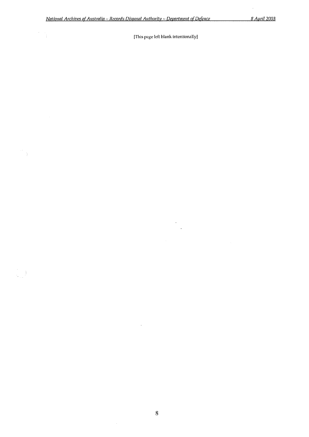$\begin{pmatrix} 1 & 1 \\ 0 & 1 \\ 0 & 1 \end{pmatrix}$ 

 $\begin{pmatrix} 1 & 1 \\ 1 & 1 \\ 1 & 1 \end{pmatrix}$ 

[This page left blank intentionally]

i<br>Santa Cal

 $\sim$ 

8

 $\mathcal{A}^{\mathcal{A}}$